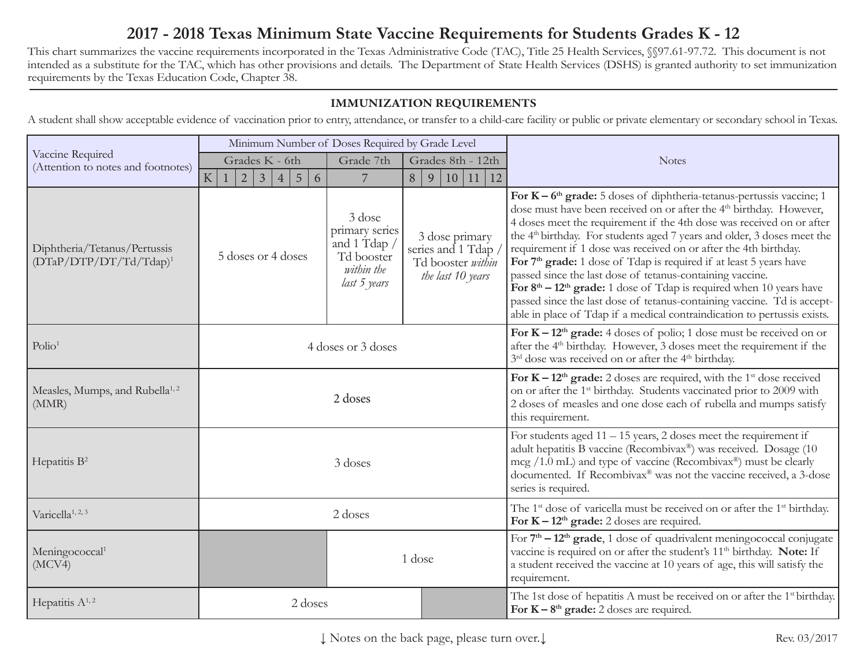# **2017 - 2018 Texas Minimum State Vaccine Requirements for Students Grades K - 12**

This chart summarizes the vaccine requirements incorporated in the Texas Administrative Code (TAC), Title 25 Health Services, §§97.61-97.72. This document is not intended as a substitute for the TAC, which has other provisions and details. The Department of State Health Services (DSHS) is granted authority to set immunization requirements by the Texas Education Code, Chapter 38.

#### **IMMUNIZATION REQUIREMENTS**

A student shall show acceptable evidence of vaccination prior to entry, attendance, or transfer to a child-care facility or public or private elementary or secondary school in Texas.

| Vaccine Required<br>(Attention to notes and footnotes)    | Minimum Number of Doses Required by Grade Level         |                                                                                      |                                                                               |                                                                                                                                                                                                                                                                                                                                                                                                                                                                                                                                                                                                                                                                                                                                                                               |
|-----------------------------------------------------------|---------------------------------------------------------|--------------------------------------------------------------------------------------|-------------------------------------------------------------------------------|-------------------------------------------------------------------------------------------------------------------------------------------------------------------------------------------------------------------------------------------------------------------------------------------------------------------------------------------------------------------------------------------------------------------------------------------------------------------------------------------------------------------------------------------------------------------------------------------------------------------------------------------------------------------------------------------------------------------------------------------------------------------------------|
|                                                           | Grades K - 6th                                          | Grade 7th                                                                            | Grades 8th - 12th                                                             | <b>Notes</b>                                                                                                                                                                                                                                                                                                                                                                                                                                                                                                                                                                                                                                                                                                                                                                  |
|                                                           | $\overline{3}$<br>5<br>${\bf K}$<br>6<br>$\overline{4}$ | 7                                                                                    | 11<br>8<br>10 <sup>1</sup><br>12<br>9                                         |                                                                                                                                                                                                                                                                                                                                                                                                                                                                                                                                                                                                                                                                                                                                                                               |
| Diphtheria/Tetanus/Pertussis<br>$(DTaP/DTP/DT/Td/Tdap)^1$ | 5 doses or 4 doses                                      | 3 dose<br>primary series<br>and 1 Tdap /<br>Td booster<br>within the<br>last 5 years | 3 dose primary<br>series and 1 Tdap<br>Td booster within<br>the last 10 years | For $K - 6th$ grade: 5 doses of diphtheria-tetanus-pertussis vaccine; 1<br>dose must have been received on or after the 4 <sup>th</sup> birthday. However,<br>4 doses meet the requirement if the 4th dose was received on or after<br>the 4 <sup>th</sup> birthday. For students aged 7 years and older, 3 doses meet the<br>requirement if 1 dose was received on or after the 4th birthday.<br>For 7 <sup>th</sup> grade: 1 dose of Tdap is required if at least 5 years have<br>passed since the last dose of tetanus-containing vaccine.<br>For $8th - 12th$ grade: 1 dose of Tdap is required when 10 years have<br>passed since the last dose of tetanus-containing vaccine. Td is accept-<br>able in place of Tdap if a medical contraindication to pertussis exists. |
| Polio <sup>1</sup>                                        | 4 doses or 3 doses                                      |                                                                                      |                                                                               | For $K - 12th$ grade: 4 doses of polio; 1 dose must be received on or<br>after the 4 <sup>th</sup> birthday. However, 3 doses meet the requirement if the<br>3 <sup>rd</sup> dose was received on or after the 4 <sup>th</sup> birthday.                                                                                                                                                                                                                                                                                                                                                                                                                                                                                                                                      |
| Measles, Mumps, and Rubella <sup>1,2</sup><br>(MMR)       | 2 doses                                                 |                                                                                      |                                                                               | For $K - 12th$ grade: 2 doses are required, with the 1 <sup>st</sup> dose received<br>on or after the 1 <sup>st</sup> birthday. Students vaccinated prior to 2009 with<br>2 doses of measles and one dose each of rubella and mumps satisfy<br>this requirement.                                                                                                                                                                                                                                                                                                                                                                                                                                                                                                              |
| Hepatitis $B^2$                                           | 3 doses                                                 |                                                                                      |                                                                               | For students aged $11 - 15$ years, 2 doses meet the requirement if<br>adult hepatitis B vaccine (Recombivax®) was received. Dosage (10<br>$\text{mcg }$ /1.0 mL) and type of vaccine (Recombivax <sup>®</sup> ) must be clearly<br>documented. If Recombivax® was not the vaccine received, a 3-dose<br>series is required.                                                                                                                                                                                                                                                                                                                                                                                                                                                   |
| Varicella <sup>1, 2, 3</sup>                              | 2 doses                                                 |                                                                                      |                                                                               | The 1 <sup>st</sup> dose of varicella must be received on or after the 1 <sup>st</sup> birthday.<br>For $K - 12th$ grade: 2 doses are required.                                                                                                                                                                                                                                                                                                                                                                                                                                                                                                                                                                                                                               |
| Meningococcal <sup>1</sup><br>(MCV4)                      | 1 dose                                                  |                                                                                      |                                                                               | For $7th - 12th$ grade, 1 dose of quadrivalent meningococcal conjugate<br>vaccine is required on or after the student's 11 <sup>th</sup> birthday. Note: If<br>a student received the vaccine at 10 years of age, this will satisfy the<br>requirement.                                                                                                                                                                                                                                                                                                                                                                                                                                                                                                                       |
| Hepatitis $A^{1,2}$                                       | 2 doses                                                 |                                                                                      |                                                                               | The 1st dose of hepatitis A must be received on or after the 1 <sup>st</sup> birthday.<br>For $K - 8th$ grade: 2 doses are required.                                                                                                                                                                                                                                                                                                                                                                                                                                                                                                                                                                                                                                          |